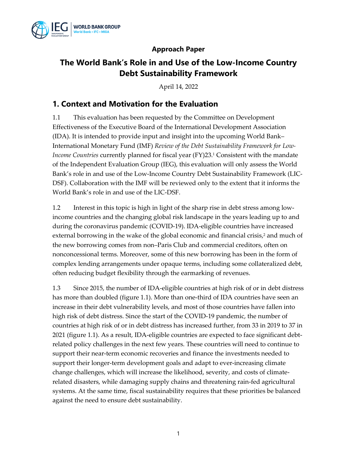

#### **Approach Paper**

# **The World Bank's Role in and Use of the Low-Income Country Debt Sustainability Framework**

April 14, 2022

#### **1. Context and Motivation for the Evaluation**

1.1 This evaluation has been requested by the Committee on Development Effectiveness of the Executive Board of the International Development Association (IDA). It is intended to provide input and insight into the upcoming World Bank– International Monetary Fund (IMF) *Review of the Debt Sustainability Framework for Low-Income Countries* currently planned for fiscal year (FY)23.<sup>1</sup> Consistent with the mandate of the Independent Evaluation Group (IEG), this evaluation will only assess the World Bank's role in and use of the Low-Income Country Debt Sustainability Framework (LIC-DSF). Collaboration with the IMF will be reviewed only to the extent that it informs the World Bank's role in and use of the LIC-DSF.

1.2 Interest in this topic is high in light of the sharp rise in debt stress among lowincome countries and the changing global risk landscape in the years leading up to and during the coronavirus pandemic (COVID-19). IDA-eligible countries have increased external borrowing in the wake of the global economic and financial crisis, <sup>2</sup> and much of the new borrowing comes from non–Paris Club and commercial creditors, often on nonconcessional terms. Moreover, some of this new borrowing has been in the form of complex lending arrangements under opaque terms, including some collateralized debt, often reducing budget flexibility through the earmarking of revenues.

1.3 Since 2015, the number of IDA-eligible countries at high risk of or in debt distress has more than doubled (figure 1.1). More than one-third of IDA countries have seen an increase in their debt vulnerability levels, and most of those countries have fallen into high risk of debt distress. Since the start of the COVID-19 pandemic, the number of countries at high risk of or in debt distress has increased further, from 33 in 2019 to 37 in 2021 (figure 1.1). As a result, IDA-eligible countries are expected to face significant debtrelated policy challenges in the next few years. These countries will need to continue to support their near-term economic recoveries and finance the investments needed to support their longer-term development goals and adapt to ever-increasing climate change challenges, which will increase the likelihood, severity, and costs of climaterelated disasters, while damaging supply chains and threatening rain-fed agricultural systems. At the same time, fiscal sustainability requires that these priorities be balanced against the need to ensure debt sustainability.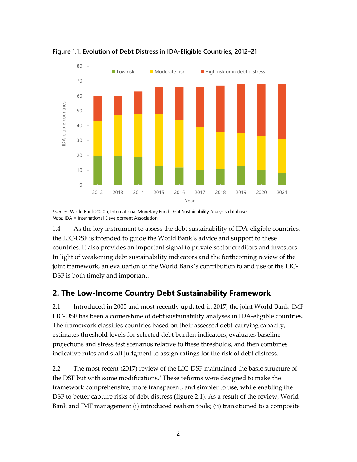

**Figure 1.1. Evolution of Debt Distress in IDA-Eligible Countries, 2012–21**

*Sources:* World Bank 2020b; International Monetary Fund Debt Sustainability Analysis database. *Note:* IDA = International Development Association.

1.4 As the key instrument to assess the debt sustainability of IDA-eligible countries, the LIC-DSF is intended to guide the World Bank's advice and support to these countries. It also provides an important signal to private sector creditors and investors. In light of weakening debt sustainability indicators and the forthcoming review of the joint framework, an evaluation of the World Bank's contribution to and use of the LIC-DSF is both timely and important.

#### **2. The Low-Income Country Debt Sustainability Framework**

2.1 Introduced in 2005 and most recently updated in 2017, the joint World Bank–IMF LIC-DSF has been a cornerstone of debt sustainability analyses in IDA-eligible countries. The framework classifies countries based on their assessed debt-carrying capacity, estimates threshold levels for selected debt burden indicators, evaluates baseline projections and stress test scenarios relative to these thresholds, and then combines indicative rules and staff judgment to assign ratings for the risk of debt distress.

2.2 The most recent [\(2017\) review of the LIC-DSF](https://documents.worldbank.org/en/publication/documents-reports/documentdetail/823731506617907804/review-of-the-debt-sustainability-framework-for-low-income-countries-proposed-reforms) maintained the basic structure of the DSF but with some modifications.<sup>3</sup> These reforms were designed to make the framework comprehensive, more transparent, and simpler to use, while enabling the DSF to better capture risks of debt distress (figure 2.1). As a result of the review, World Bank and IMF management (i) introduced realism tools; (ii) transitioned to a composite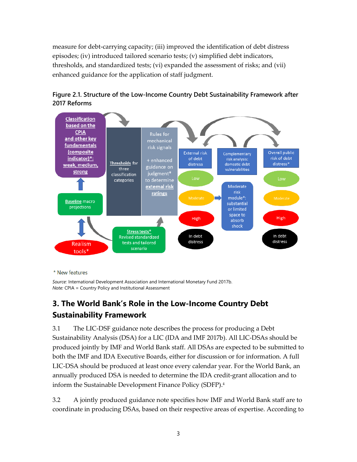measure for debt-carrying capacity; (iii) improved the identification of debt distress episodes; (iv) introduced tailored scenario tests; (v) simplified debt indicators, thresholds, and standardized tests; (vi) expanded the assessment of risks; and (vii) enhanced guidance for the application of staff judgment.





\* New features

*Source:* International Development Association and International Monetary Fund 2017b. *Note:* CPIA = Country Policy and Institutional Assessment

## **3. The World Bank's Role in the Low-Income Country Debt Sustainability Framework**

3.1 The LIC-DSF guidance note describes the process for producing a Debt Sustainability Analysis (DSA) for a LIC (IDA and IMF 2017b). All LIC-DSAs should be produced jointly by IMF and World Bank staff. All DSAs are expected to be submitted to both the IMF and IDA Executive Boards, either for discussion or for information. A full LIC-DSA should be produced at least once every calendar year. For the World Bank, an annually produced DSA is needed to determine the IDA credit-grant allocation and to inform the Sustainable Development Finance Policy (SDFP). 4

3.2 A jointly produced guidance note specifies how IMF and World Bank staff are to coordinate in producing DSAs, based on their respective areas of expertise. According to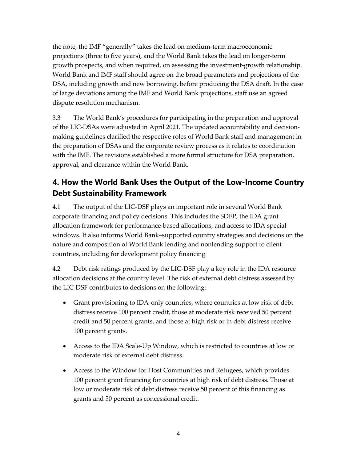the note, the IMF "generally" takes the lead on medium-term macroeconomic projections (three to five years), and the World Bank takes the lead on longer-term growth prospects, and when required, on assessing the investment-growth relationship. World Bank and IMF staff should agree on the broad parameters and projections of the DSA, including growth and new borrowing, before producing the DSA draft. In the case of large deviations among the IMF and World Bank projections, staff use an agreed dispute resolution mechanism.

3.3 The World Bank's procedures for participating in the preparation and approval of the LIC-DSAs were adjusted in April 2021. The updated accountability and decisionmaking guidelines clarified the respective roles of World Bank staff and management in the preparation of DSAs and the corporate review process as it relates to coordination with the IMF. The revisions established a more formal structure for DSA preparation, approval, and clearance within the World Bank.

# **4. How the World Bank Uses the Output of the Low-Income Country Debt Sustainability Framework**

4.1 The output of the LIC-DSF plays an important role in several World Bank corporate financing and policy decisions. This includes the SDFP, the IDA grant allocation framework for performance-based allocations, and access to IDA special windows. It also informs World Bank–supported country strategies and decisions on the nature and composition of World Bank lending and nonlending support to client countries, including for development policy financing

4.2 Debt risk ratings produced by the LIC-DSF play a key role in the IDA resource allocation decisions at the country level. The risk of external debt distress assessed by the LIC-DSF contributes to decisions on the following:

- Grant provisioning to IDA-only countries, where countries at low risk of debt distress receive 100 percent credit, those at moderate risk received 50 percent credit and 50 percent grants, and those at high risk or in debt distress receive 100 percent grants.
- Access to the IDA Scale-Up Window, which is restricted to countries at low or moderate risk of external debt distress.
- Access to the Window for Host Communities and Refugees, which provides 100 percent grant financing for countries at high risk of debt distress. Those at low or moderate risk of debt distress receive 50 percent of this financing as grants and 50 percent as concessional credit.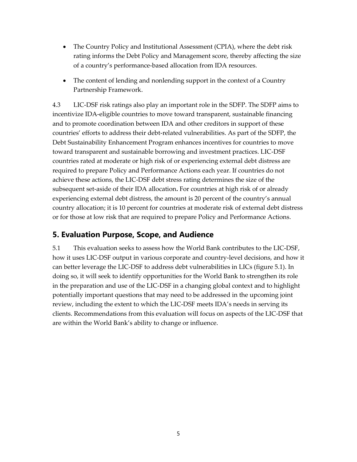- The Country Policy and Institutional Assessment (CPIA), where the debt risk rating informs the Debt Policy and Management score, thereby affecting the size of a country's performance-based allocation from IDA resources.
- The content of lending and nonlending support in the context of a Country Partnership Framework.

4.3 LIC-DSF risk ratings also play an important role in the SDFP. The SDFP aims to incentivize IDA-eligible countries to move toward transparent, sustainable financing and to promote coordination between IDA and other creditors in support of these countries' efforts to address their debt-related vulnerabilities. As part of the SDFP, the Debt Sustainability Enhancement Program enhances incentives for countries to move toward transparent and sustainable borrowing and investment practices. LIC-DSF countries rated at moderate or high risk of or experiencing external debt distress are required to prepare Policy and Performance Actions each year. If countries do not achieve these actions, the LIC-DSF debt stress rating determines the size of the subsequent set-aside of their IDA allocation**.** For countries at high risk of or already experiencing external debt distress, the amount is 20 percent of the country's annual country allocation; it is 10 percent for countries at moderate risk of external debt distress or for those at low risk that are required to prepare Policy and Performance Actions.

## **5. Evaluation Purpose, Scope, and Audience**

5.1 This evaluation seeks to assess how the World Bank contributes to the LIC-DSF, how it uses LIC-DSF output in various corporate and country-level decisions, and how it can better leverage the LIC-DSF to address debt vulnerabilities in LICs (figure 5.1). In doing so, it will seek to identify opportunities for the World Bank to strengthen its role in the preparation and use of the LIC-DSF in a changing global context and to highlight potentially important questions that may need to be addressed in the upcoming joint review, including the extent to which the LIC-DSF meets IDA's needs in serving its clients. Recommendations from this evaluation will focus on aspects of the LIC-DSF that are within the World Bank's ability to change or influence.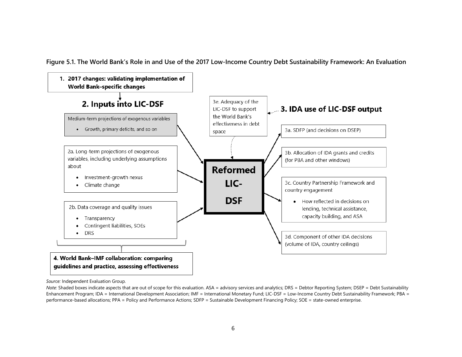**Figure 5.1. The World Bank's Role in and Use of the 2017 Low-Income Country Debt Sustainability Framework: An Evaluation**



*Source:* Independent Evaluation Group.

*Note:* Shaded boxes indicate aspects that are out of scope for this evaluation. ASA = advisory services and analytics; DRS = Debtor Reporting System; DSEP = Debt Sustainability Enhancement Program; IDA = International Development Association; IMF = International Monetary Fund; LIC-DSF = Low-Income Country Debt Sustainability Framework; PBA = performance-based allocations; PPA = Policy and Performance Actions; SDFP = Sustainable Development Financing Policy; SOE = state-owned enterprise.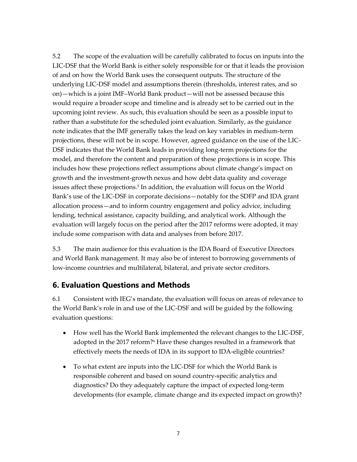5.2 The scope of the evaluation will be carefully calibrated to focus on inputs into the LIC-DSF that the World Bank is either solely responsible for or that it leads the provision of and on how the World Bank uses the consequent outputs. The structure of the underlying LIC-DSF model and assumptions therein (thresholds, interest rates, and so on)—which is a joint IMF–World Bank product—will not be assessed because this would require a broader scope and timeline and is already set to be carried out in the upcoming joint review. As such, this evaluation should be seen as a possible input to rather than a substitute for the scheduled joint evaluation. Similarly, as the guidance note indicates that the IMF generally takes the lead on key variables in medium-term projections, these will not be in scope. However, agreed guidance on the use of the LIC-DSF indicates that the World Bank leads in providing long-term projections for the model, and therefore the content and preparation of these projections is in scope. This includes how these projections reflect assumptions about climate change's impact on growth and the investment-growth nexus and how debt data quality and coverage issues affect these projections.<sup>5</sup> In addition, the evaluation will focus on the World Bank's use of the LIC-DSF in corporate decisions—notably for the SDFP and IDA grant allocation process—and to inform country engagement and policy advice, including lending, technical assistance, capacity building, and analytical work. Although the evaluation will largely focus on the period after the 2017 reforms were adopted, it may include some comparison with data and analyses from before 2017.

5.3 The main audience for this evaluation is the IDA Board of Executive Directors and World Bank management. It may also be of interest to borrowing governments of low-income countries and multilateral, bilateral, and private sector creditors.

#### **6. Evaluation Questions and Methods**

6.1 Consistent with IEG's mandate, the evaluation will focus on areas of relevance to the World Bank's role in and use of the LIC-DSF and will be guided by the following evaluation questions:

- How well has the World Bank implemented the relevant changes to the LIC-DSF, adopted in the 2017 reform?<sup>6</sup> Have these changes resulted in a framework that effectively meets the needs of IDA in its support to IDA-eligible countries?
- To what extent are inputs into the LIC-DSF for which the World Bank is responsible coherent and based on sound country-specific analytics and diagnostics? Do they adequately capture the impact of expected long-term developments (for example, climate change and its expected impact on growth)?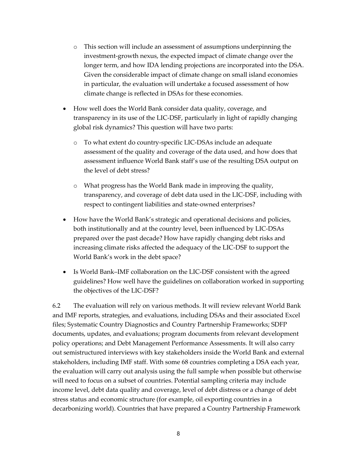- o This section will include an assessment of assumptions underpinning the investment-growth nexus, the expected impact of climate change over the longer term, and how IDA lending projections are incorporated into the DSA. Given the considerable impact of climate change on small island economies in particular, the evaluation will undertake a focused assessment of how climate change is reflected in DSAs for these economies.
- How well does the World Bank consider data quality, coverage, and transparency in its use of the LIC-DSF, particularly in light of rapidly changing global risk dynamics? This question will have two parts:
	- o To what extent do country-specific LIC-DSAs include an adequate assessment of the quality and coverage of the data used, and how does that assessment influence World Bank staff's use of the resulting DSA output on the level of debt stress?
	- o What progress has the World Bank made in improving the quality, transparency, and coverage of debt data used in the LIC-DSF, including with respect to contingent liabilities and state-owned enterprises?
- How have the World Bank's strategic and operational decisions and policies, both institutionally and at the country level, been influenced by LIC-DSAs prepared over the past decade? How have rapidly changing debt risks and increasing climate risks affected the adequacy of the LIC-DSF to support the World Bank's work in the debt space?
- Is World Bank–IMF collaboration on the LIC-DSF consistent with the agreed guidelines? How well have the guidelines on collaboration worked in supporting the objectives of the LIC-DSF?

6.2 The evaluation will rely on various methods. It will review relevant World Bank and IMF reports, strategies, and evaluations, including DSAs and their associated Excel files; Systematic Country Diagnostics and Country Partnership Frameworks; SDFP documents, updates, and evaluations; program documents from relevant development policy operations; and Debt Management Performance Assessments. It will also carry out semistructured interviews with key stakeholders inside the World Bank and external stakeholders, including IMF staff. With some 68 countries completing a DSA each year, the evaluation will carry out analysis using the full sample when possible but otherwise will need to focus on a subset of countries. Potential sampling criteria may include income level, debt data quality and coverage, level of debt distress or a change of debt stress status and economic structure (for example, oil exporting countries in a decarbonizing world). Countries that have prepared a Country Partnership Framework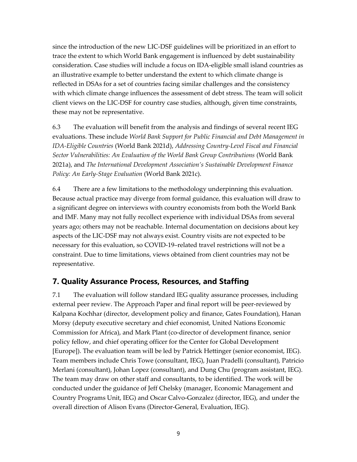since the introduction of the new LIC-DSF guidelines will be prioritized in an effort to trace the extent to which World Bank engagement is influenced by debt sustainability consideration. Case studies will include a focus on IDA-eligible small island countries as an illustrative example to better understand the extent to which climate change is reflected in DSAs for a set of countries facing similar challenges and the consistency with which climate change influences the assessment of debt stress. The team will solicit client views on the LIC-DSF for country case studies, although, given time constraints, these may not be representative.

6.3 The evaluation will benefit from the analysis and findings of several recent IEG evaluations. These include *World Bank Support for Public Financial and Debt Management in IDA-Eligible Countries* (World Bank 2021d), *Addressing Country-Level Fiscal and Financial Sector Vulnerabilities: An Evaluation of the World Bank Group Contributions* (World Bank 2021a), and *The International Development Association's Sustainable Development Finance Policy: An Early-Stage Evaluation* (World Bank 2021c).

6.4 There are a few limitations to the methodology underpinning this evaluation. Because actual practice may diverge from formal guidance, this evaluation will draw to a significant degree on interviews with country economists from both the World Bank and IMF. Many may not fully recollect experience with individual DSAs from several years ago; others may not be reachable. Internal documentation on decisions about key aspects of the LIC-DSF may not always exist. Country visits are not expected to be necessary for this evaluation, so COVID-19–related travel restrictions will not be a constraint. Due to time limitations, views obtained from client countries may not be representative.

## **7. Quality Assurance Process, Resources, and Staffing**

7.1 The evaluation will follow standard IEG quality assurance processes, including external peer review. The Approach Paper and final report will be peer-reviewed by Kalpana Kochhar (director, development policy and finance, Gates Foundation), Hanan Morsy (deputy executive secretary and chief economist, United Nations Economic Commission for Africa), and Mark Plant (co-director of development finance, senior policy fellow, and chief operating officer for the Center for Global Development [Europe]). The evaluation team will be led by Patrick Hettinger (senior economist, IEG). Team members include Chris Towe (consultant, IEG), Juan Pradelli (consultant), Patricio Merlani (consultant), Johan Lopez (consultant), and Dung Chu (program assistant, IEG). The team may draw on other staff and consultants, to be identified. The work will be conducted under the guidance of Jeff Chelsky (manager, Economic Management and Country Programs Unit, IEG) and Oscar Calvo-Gonzalez (director, IEG), and under the overall direction of Alison Evans (Director-General, Evaluation, IEG).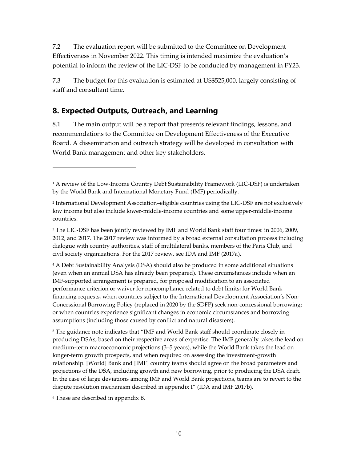7.2 The evaluation report will be submitted to the Committee on Development Effectiveness in November 2022. This timing is intended maximize the evaluation's potential to inform the review of the LIC-DSF to be conducted by management in FY23.

7.3 The budget for this evaluation is estimated at US\$525,000, largely consisting of staff and consultant time.

#### **8. Expected Outputs, Outreach, and Learning**

8.1 The main output will be a report that presents relevant findings, lessons, and recommendations to the Committee on Development Effectiveness of the Executive Board. A dissemination and outreach strategy will be developed in consultation with World Bank management and other key stakeholders.

<sup>3</sup> The LIC-DSF has been jointly reviewed by IMF and World Bank staff four times: in 2006, 2009, 2012, and 2017. The 2017 review was informed by a broad external consultation process including dialogue with country authorities, staff of multilateral banks, members of the Paris Club, and civil society organizations. For the 2017 review, see IDA and IMF (2017a).

<sup>4</sup> A Debt Sustainability Analysis (DSA) should also be produced in some additional situations (even when an annual DSA has already been prepared). These circumstances include when an IMF-supported arrangement is prepared, for proposed modification to an associated performance criterion or waiver for noncompliance related to debt limits; for World Bank financing requests, when countries subject to the International Development Association's Non-Concessional Borrowing Policy (replaced in 2020 by the SDFP) seek non-concessional borrowing; or when countries experience significant changes in economic circumstances and borrowing assumptions (including those caused by conflict and natural disasters).

<sup>5</sup> The guidance note indicates that "IMF and World Bank staff should coordinate closely in producing DSAs, based on their respective areas of expertise. The IMF generally takes the lead on medium-term macroeconomic projections (3–5 years), while the World Bank takes the lead on longer-term growth prospects, and when required on assessing the investment-growth relationship. [World] Bank and [IMF] country teams should agree on the broad parameters and projections of the DSA, including growth and new borrowing, prior to producing the DSA draft. In the case of large deviations among IMF and World Bank projections, teams are to revert to the dispute resolution mechanism described in appendix I" (IDA and IMF 2017b).

<sup>6</sup> These are described in appendix B.

<sup>&</sup>lt;sup>1</sup> A review of the Low-Income Country Debt Sustainability Framework (LIC-DSF) is undertaken by the World Bank and International Monetary Fund (IMF) periodically.

<sup>2</sup> International Development Association–eligible countries using the LIC-DSF are not exclusively low income but also include lower-middle-income countries and some upper-middle-income countries.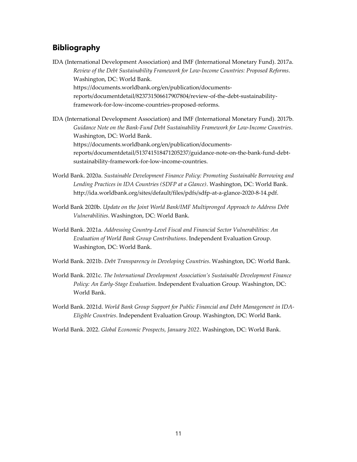#### **Bibliography**

- IDA (International Development Association) and IMF (International Monetary Fund). 2017a. *Review of the Debt Sustainability Framework for Low-Income Countries: Proposed Reforms*. Washington, DC: World Bank. [https://documents.worldbank.org/en/publication/documents](https://documents.worldbank.org/en/publication/documents-reports/documentdetail/823731506617907804/review-of-the-debt-sustainability-framework-for-low-income-countries-proposed-reforms)[reports/documentdetail/823731506617907804/review-of-the-debt-sustainability](https://documents.worldbank.org/en/publication/documents-reports/documentdetail/823731506617907804/review-of-the-debt-sustainability-framework-for-low-income-countries-proposed-reforms)[framework-for-low-income-countries-proposed-reforms.](https://documents.worldbank.org/en/publication/documents-reports/documentdetail/823731506617907804/review-of-the-debt-sustainability-framework-for-low-income-countries-proposed-reforms)
- IDA (International Development Association) and IMF (International Monetary Fund). 2017b. *Guidance Note on the Bank-Fund Debt Sustainability Framework for Low-Income Countries*. Washington, DC: World Bank. https://documents.worldbank.org/en/publication/documentsreports/documentdetail/513741518471205237/guidance-note-on-the-bank-fund-debtsustainability-framework-for-low-income-countries.
- World Bank. 2020a. *Sustainable Development Finance Policy: Promoting Sustainable Borrowing and Lending Practices in IDA Countries (SDFP at a Glance)*. Washington, DC: World Bank. http://ida.worldbank.org/sites/default/files/pdfs/sdfp-at-a-glance-2020-8-14.pdf.
- World Bank 2020b. *Update on the Joint World Bank/IMF Multipronged Approach to Address Debt Vulnerabilities*. Washington, DC: World Bank.
- World Bank. 2021a. *Addressing Country-Level Fiscal and Financial Sector Vulnerabilities: An Evaluation of World Bank Group Contributions*. Independent Evaluation Group. Washington, DC: World Bank.
- World Bank. 2021b. *Debt Transparency in Developing Countries*. Washington, DC: World Bank.
- World Bank. 2021c. *The International Development Association's Sustainable Development Finance Policy: An Early-Stage Evaluation*. Independent Evaluation Group. Washington, DC: World Bank.
- World Bank. 2021d. *World Bank Group Support for Public Financial and Debt Management in IDA-Eligible Countries*. Independent Evaluation Group. Washington, DC: World Bank.
- World Bank. 2022. *Global Economic Prospects, January 2022*. Washington, DC: World Bank.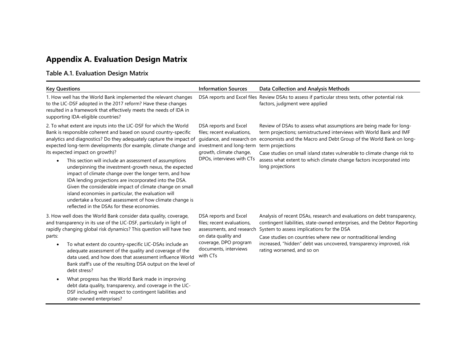# **Appendix A. Evaluation Design Matrix**

## **Table A.1. Evaluation Design Matrix**

| <b>Key Questions</b>                                                                                                                                                                                                                                                                                                                                                                                                                                                                                                                                                                                                                                                                                                                                                                    | <b>Information Sources</b>                                                                                                                                            | Data Collection and Analysis Methods                                                                                                                                                                                                                                                                                                                                                                        |
|-----------------------------------------------------------------------------------------------------------------------------------------------------------------------------------------------------------------------------------------------------------------------------------------------------------------------------------------------------------------------------------------------------------------------------------------------------------------------------------------------------------------------------------------------------------------------------------------------------------------------------------------------------------------------------------------------------------------------------------------------------------------------------------------|-----------------------------------------------------------------------------------------------------------------------------------------------------------------------|-------------------------------------------------------------------------------------------------------------------------------------------------------------------------------------------------------------------------------------------------------------------------------------------------------------------------------------------------------------------------------------------------------------|
| 1. How well has the World Bank implemented the relevant changes<br>to the LIC-DSF adopted in the 2017 reform? Have these changes<br>resulted in a framework that effectively meets the needs of IDA in<br>supporting IDA-eligible countries?                                                                                                                                                                                                                                                                                                                                                                                                                                                                                                                                            |                                                                                                                                                                       | DSA reports and Excel files Review DSAs to assess if particular stress tests, other potential risk<br>factors, judgment were applied                                                                                                                                                                                                                                                                        |
| 2. To what extent are inputs into the LIC-DSF for which the World<br>Bank is responsible coherent and based on sound country-specific<br>analytics and diagnostics? Do they adequately capture the impact of<br>expected long-term developments (for example, climate change and<br>its expected impact on growth)?<br>This section will include an assessment of assumptions<br>underpinning the investment-growth nexus, the expected<br>impact of climate change over the longer term, and how<br>IDA lending projections are incorporated into the DSA.<br>Given the considerable impact of climate change on small<br>island economies in particular, the evaluation will<br>undertake a focused assessment of how climate change is<br>reflected in the DSAs for these economies. | DSA reports and Excel<br>files; recent evaluations,<br>quidance, and research on<br>investment and long-term<br>growth, climate change,<br>DPOs, interviews with CTs  | Review of DSAs to assess what assumptions are being made for long-<br>term projections; semistructured interviews with World Bank and IMF<br>economists and the Macro and Debt Group of the World Bank on long-<br>term projections<br>Case studies on small island states vulnerable to climate change risk to<br>assess what extent to which climate change factors incorporated into<br>long projections |
| 3. How well does the World Bank consider data quality, coverage,<br>and transparency in its use of the LIC-DSF, particularly in light of<br>rapidly changing global risk dynamics? This question will have two<br>parts:<br>To what extent do country-specific LIC-DSAs include an<br>$\bullet$<br>adequate assessment of the quality and coverage of the<br>data used, and how does that assessment influence World<br>Bank staff's use of the resulting DSA output on the level of<br>debt stress?<br>What progress has the World Bank made in improving<br>$\bullet$<br>debt data quality, transparency, and coverage in the LIC-<br>DSF including with respect to contingent liabilities and<br>state-owned enterprises?                                                            | DSA reports and Excel<br>files; recent evaluations,<br>assessments, and research<br>on data quality and<br>coverage, DPO program<br>documents, interviews<br>with CTs | Analysis of recent DSAs, research and evaluations on debt transparency,<br>contingent liabilities, state-owned enterprises, and the Debtor Reporting<br>System to assess implications for the DSA<br>Case studies on countries where new or nontraditional lending<br>increased, "hidden" debt was uncovered, transparency improved, risk<br>rating worsened, and so on                                     |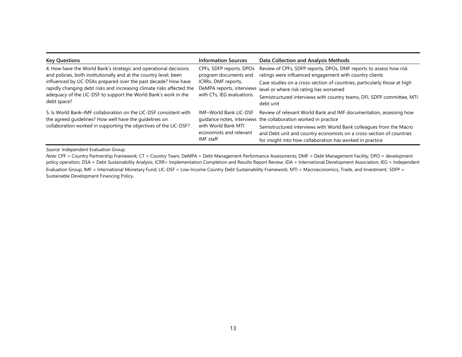| <b>Key Questions</b>                                                                                                                                                                                                                                                                                                                                               | <b>Information Sources</b>                                                                                                         | Data Collection and Analysis Methods                                                                                                                                                                                                                                                                                                              |
|--------------------------------------------------------------------------------------------------------------------------------------------------------------------------------------------------------------------------------------------------------------------------------------------------------------------------------------------------------------------|------------------------------------------------------------------------------------------------------------------------------------|---------------------------------------------------------------------------------------------------------------------------------------------------------------------------------------------------------------------------------------------------------------------------------------------------------------------------------------------------|
| 4. How have the World Bank's strategic and operational decisions<br>and policies, both institutionally and at the country level, been<br>influenced by LIC-DSAs prepared over the past decade? How have<br>rapidly changing debt risks and increasing climate risks affected the<br>adequacy of the LIC-DSF to support the World Bank's work in the<br>debt space? | CPFs, SDFP reports, DPOs<br>program documents and<br>ICRRs, DMF reports,<br>DeMPA reports, interviews<br>with CTs, IEG evaluations | Review of CPFs, SDFP reports, DPOs, DMF reports to assess how risk<br>ratings were influenced engagement with country clients<br>Case studies on a cross-section of countries, particularly those at high<br>level or where risk rating has worsened<br>Semistructured interviews with country teams, DFI, SDFP committee, MTI<br>debt unit       |
| 5. Is World Bank–IMF collaboration on the LIC-DSF consistent with<br>the agreed guidelines? How well have the guidelines on<br>collaboration worked in supporting the objectives of the LIC-DSF?                                                                                                                                                                   | <b>IMF-World Bank LIC-DSF</b><br>with World Bank MTI<br>economists and relevant<br>IMF staff                                       | Review of relevant World Bank and IMF documentation, assessing how<br>quidance notes, interviews the collaboration worked in practice<br>Semistructured interviews with World Bank colleagues from the Macro<br>and Debt unit and country economists on a cross-section of countries<br>for insight into how collaboration has worked in practice |

*Source:* Independent Evaluation Group.

*Note:* CPF = Country Partnership Framework; CT = Country Team; DeMPA = Debt Management Performance Assessments; DMF = Debt Management Facility; DPO = development policy operation; DSA = Debt Sustainability Analysis; ICRR= Implementation Completion and Results Report Review; IDA = International Development Association; IEG = Independent Evaluation Group; IMF = International Monetary Fund; LIC-DSF = Low-Income Country Debt Sustainability Framework; MTI = Macroeconomics, Trade, and Investment; SDFP = Sustainable Development Financing Policy.